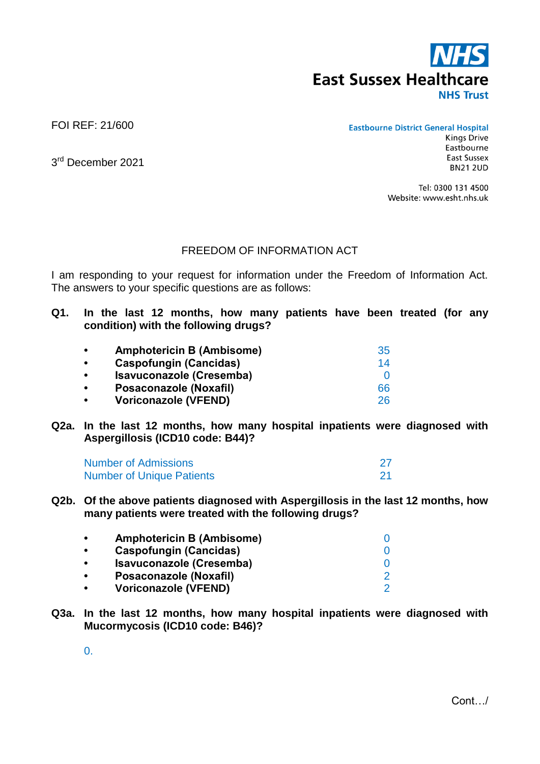

FOI REF: 21/600

**Eastbourne District General Hospital** 

3<sup>rd</sup> December 2021

Eastbourne **East Sussex BN21 2UD** 

**Kings Drive** 

Tel: 0300 131 4500 Website: www.esht.nhs.uk

## FREEDOM OF INFORMATION ACT

I am responding to your request for information under the Freedom of Information Act. The answers to your specific questions are as follows:

**Q1. In the last 12 months, how many patients have been treated (for any condition) with the following drugs?**

| $\bullet$ | <b>Amphotericin B (Ambisome)</b> | 35 |
|-----------|----------------------------------|----|
| $\bullet$ | <b>Caspofungin (Cancidas)</b>    | 14 |
| $\bullet$ | Isavuconazole (Cresemba)         | O  |
| $\bullet$ | Posaconazole (Noxafil)           | 66 |
| $\bullet$ | <b>Voriconazole (VFEND)</b>      | 26 |

**Q2a. In the last 12 months, how many hospital inpatients were diagnosed with Aspergillosis (ICD10 code: B44)?**

| <b>Number of Admissions</b>      |  |
|----------------------------------|--|
| <b>Number of Unique Patients</b> |  |

**Q2b. Of the above patients diagnosed with Aspergillosis in the last 12 months, how many patients were treated with the following drugs?**

| $\bullet$ | <b>Amphotericin B (Ambisome)</b> |  |
|-----------|----------------------------------|--|
| $\bullet$ | <b>Caspofungin (Cancidas)</b>    |  |
| $\bullet$ | Isavuconazole (Cresemba)         |  |
| $\bullet$ | Posaconazole (Noxafil)           |  |
| $\bullet$ | <b>Voriconazole (VFEND)</b>      |  |

**Q3a. In the last 12 months, how many hospital inpatients were diagnosed with Mucormycosis (ICD10 code: B46)?**

0.